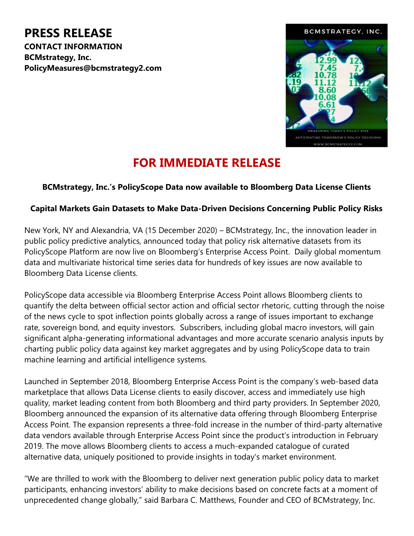PRESS RELEASE CONTACT INFORMATION BCMstrategy, Inc. PolicyMeasures@bcmstrategy2.com



## FOR IMMEDIATE RELEASE

## BCMstrategy, Inc.'s PolicyScope Data now available to Bloomberg Data License Clients

## Capital Markets Gain Datasets to Make Data-Driven Decisions Concerning Public Policy Risks

New York, NY and Alexandria, VA (15 December 2020) – BCMstrategy, Inc., the innovation leader in public policy predictive analytics, announced today that policy risk alternative datasets from its PolicyScope Platform are now live on Bloomberg's Enterprise Access Point. Daily global momentum data and multivariate historical time series data for hundreds of key issues are now available to Bloomberg Data License clients.

PolicyScope data accessible via Bloomberg Enterprise Access Point allows Bloomberg clients to quantify the delta between official sector action and official sector rhetoric, cutting through the noise of the news cycle to spot inflection points globally across a range of issues important to exchange rate, sovereign bond, and equity investors. Subscribers, including global macro investors, will gain significant alpha-generating informational advantages and more accurate scenario analysis inputs by charting public policy data against key market aggregates and by using PolicyScope data to train machine learning and artificial intelligence systems.

Launched in September 2018, Bloomberg Enterprise Access Point is the company's web-based data marketplace that allows Data License clients to easily discover, access and immediately use high quality, market leading content from both Bloomberg and third party providers. In September 2020, Bloomberg announced the expansion of its alternative data offering through Bloomberg Enterprise Access Point. The expansion represents a three-fold increase in the number of third-party alternative data vendors available through Enterprise Access Point since the product's introduction in February 2019. The move allows Bloomberg clients to access a much-expanded catalogue of curated alternative data, uniquely positioned to provide insights in today's market environment.

"We are thrilled to work with the Bloomberg to deliver next generation public policy data to market participants, enhancing investors' ability to make decisions based on concrete facts at a moment of unprecedented change globally," said Barbara C. Matthews, Founder and CEO of BCMstrategy, Inc.